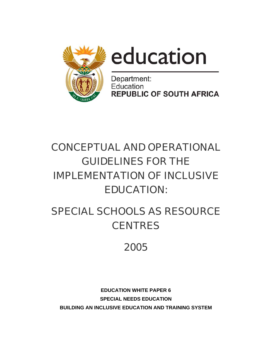



Department: Education **REPUBLIC OF SOUTH AFRICA** 

# CONCEPTUAL AND OPERATIONAL GUIDELINES FOR THE IMPLEMENTATION OF INCLUSIVE EDUCATION:

# SPECIAL SCHOOLS AS RESOURCE **CENTRES**

# 2005

**EDUCATION WHITE PAPER 6 SPECIAL NEEDS EDUCATION BUILDING AN INCLUSIVE EDUCATION AND TRAINING SYSTEM**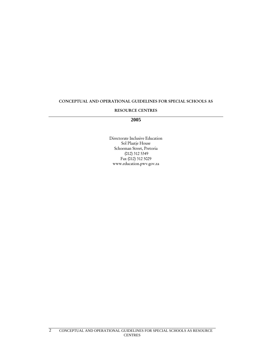#### CONCEPTUAL AND OPERATIONAL GUIDELINES FOR SPECIAL SCHOOLS AS

#### RESOURCE CENTRES

#### **2005**

Directorate Inclusive Education Sol Plaatje House Schoeman Street, Pretoria (012) 312 5349 Fax (012) 312 5029 www.education.pwv.gov.za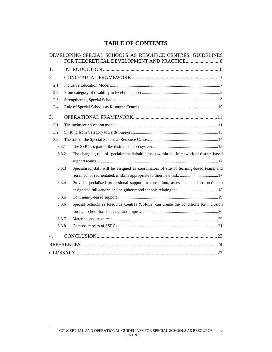# **TABLE OF CONTENTS**

|     |       | DEVELOPING SPECIAL SCHOOLS AS RESOURCE CENTRES: GUIDELINES                               |
|-----|-------|------------------------------------------------------------------------------------------|
| 1.  |       |                                                                                          |
| 2.  |       |                                                                                          |
| 2.1 |       |                                                                                          |
| 2.2 |       |                                                                                          |
| 2.3 |       |                                                                                          |
| 2.4 |       |                                                                                          |
| 3.  |       |                                                                                          |
| 3.1 |       |                                                                                          |
| 3.2 |       |                                                                                          |
| 3.3 |       |                                                                                          |
|     | 3.3.1 |                                                                                          |
|     | 3.3.2 | The changing role of special/remedial/aid classes within the framework of district-based |
|     |       |                                                                                          |
|     | 3.3.3 | Specialised staff will be assigned as coordinators of site of learning-based teams and   |
|     |       |                                                                                          |
|     | 3.3.4 | Provide specialised professional support in curriculum, assessment and instruction to    |
|     |       |                                                                                          |
|     | 3.3.5 |                                                                                          |
|     | 3.3.6 | Special Schools as Resource Centres (SSRCs) can create the conditions for inclusion      |
|     |       |                                                                                          |
|     | 3.3.7 |                                                                                          |
|     | 3.3.8 |                                                                                          |
| 4.  |       |                                                                                          |
|     |       |                                                                                          |
|     |       |                                                                                          |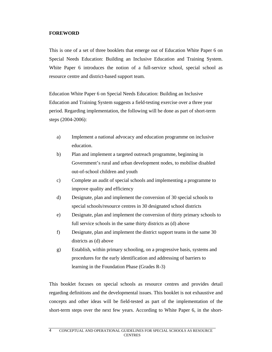#### **FOREWORD**

This is one of a set of three booklets that emerge out of Education White Paper 6 on Special Needs Education: Building an Inclusive Education and Training System. White Paper 6 introduces the notion of a full-service school, special school as resource centre and district-based support team.

Education White Paper 6 on Special Needs Education: Building an Inclusive Education and Training System suggests a field-testing exercise over a three year period. Regarding implementation, the following will be done as part of short-term steps (2004-2006):

- a) Implement a national advocacy and education programme on inclusive education.
- b) Plan and implement a targeted outreach programme, beginning in Government's rural and urban development nodes, to mobilise disabled out-of-school children and youth
- c) Complete an audit of special schools and implementing a programme to improve quality and efficiency
- d) Designate, plan and implement the conversion of 30 special schools to special schools/resource centres in 30 designated school districts
- e) Designate, plan and implement the conversion of thirty primary schools to full service schools in the same thirty districts as (d) above
- f) Designate, plan and implement the district support teams in the same 30 districts as (d) above
- g) Establish, within primary schooling, on a progressive basis, systems and procedures for the early identification and addressing of barriers to learning in the Foundation Phase (Grades R-3)

This booklet focuses on special schools as resource centres and provides detail regarding definitions and the developmental issues. This booklet is not exhaustive and concepts and other ideas will be field-tested as part of the implementation of the short-term steps over the next few years. According to White Paper 6, in the short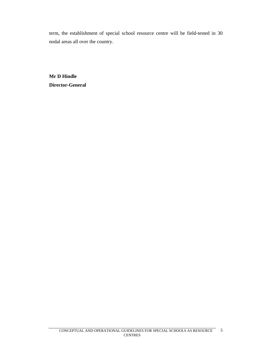term, the establishment of special school resource centre will be field-tested in 30 nodal areas all over the country.

**Mr D Hindle Director-General**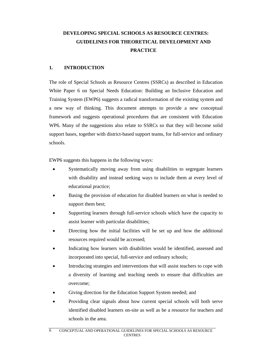# **DEVELOPING SPECIAL SCHOOLS AS RESOURCE CENTRES: GUIDELINES FOR THEORETICAL DEVELOPMENT AND PRACTICE**

#### **1. INTRODUCTION**

The role of Special Schools as Resource Centres (SSRCs) as described in Education White Paper 6 on Special Needs Education: Building an Inclusive Education and Training System (EWP6) suggests a radical transformation of the existing system and a new way of thinking. This document attempts to provide a new conceptual framework and suggests operational procedures that are consistent with Education WP6. Many of the suggestions also relate to SSRCs so that they will become solid support bases, together with district-based support teams, for full-service and ordinary schools.

EWP6 suggests this happens in the following ways:

- Systematically moving away from using disabilities to segregate learners with disability and instead seeking ways to include them at every level of educational practice;
- Basing the provision of education for disabled learners on what is needed to support them best;
- Supporting learners through full-service schools which have the capacity to assist learner with particular disabilities;
- Directing how the initial facilities will be set up and how the additional resources required would be accessed;
- Indicating how learners with disabilities would be identified, assessed and incorporated into special, full-service and ordinary schools;
- Introducing strategies and interventions that will assist teachers to cope with a diversity of learning and teaching needs to ensure that difficulties are overcome;
- Giving direction for the Education Support System needed; and
- Providing clear signals about how current special schools will both serve identified disabled learners on-site as well as be a resource for teachers and schools in the area.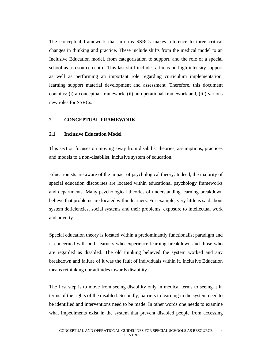The conceptual framework that informs SSRCs makes reference to three critical changes in thinking and practice. These include shifts from the medical model to an Inclusive Education model, from categorisation to support, and the role of a special school as a resource centre. This last shift includes a focus on high-intensity support as well as performing an important role regarding curriculum implementation, learning support material development and assessment. Therefore, this document contains: (i) a conceptual framework, (ii) an operational framework and, (iii) various new roles for SSRCs.

#### **2. CONCEPTUAL FRAMEWORK**

#### **2.1 Inclusive Education Model**

This section focuses on moving away from disabilist theories, assumptions, practices and models to a non-disabilist, inclusive system of education.

Educationists are aware of the impact of psychological theory. Indeed, the majority of special education discourses are located within educational psychology frameworks and departments. Many psychological theories of understanding learning breakdown believe that problems are located within learners. For example, very little is said about system deficiencies, social systems and their problems, exposure to intellectual work and poverty.

Special education theory is located within a predominantly functionalist paradigm and is concerned with both learners who experience learning breakdown and those who are regarded as disabled. The old thinking believed the system worked and any breakdown and failure of it was the fault of individuals within it. Inclusive Education means rethinking our attitudes towards disability.

The first step is to move from seeing disability only in medical terms to seeing it in terms of the rights of the disabled. Secondly, barriers to learning in the system need to be identified and interventions need to be made. In other words one needs to examine what impediments exist in the system that prevent disabled people from accessing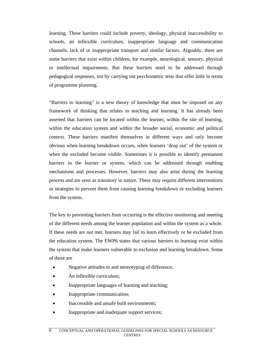learning. These barriers could include poverty, ideology, physical inaccessibility to schools, an inflexible curriculum, inappropriate language and communication channels, lack of or inappropriate transport and similar factors. Arguably, there are some barriers that exist within children, for example, neurological, sensory, physical or intellectual impairments. But these barriers need to be addressed through pedagogical responses, not by carrying out psychometric tests that offer little in terms of programme planning.

"Barriers to learning" is a new theory of knowledge that must be imposed on any framework of thinking that relates to teaching and learning. It has already been asserted that barriers can be located within the learner, within the site of learning, within the education system and within the broader social, economic and political context. These barriers manifest themselves in different ways and only become obvious when learning breakdown occurs, when learners 'drop out' of the system or when the excluded become visible. Sometimes it is possible to identify permanent barriers in the learner or system, which can be addressed through enabling mechanisms and processes. However, barriers may also arise during the learning process and are seen as transitory in nature. These may require different interventions or strategies to prevent them from causing learning breakdown or excluding learners from the system.

The key to preventing barriers from occurring is the effective monitoring and meeting of the different needs among the learner population and within the system as a whole. If these needs are not met, learners may fail to learn effectively or be excluded from the education system. The EWP6 states that various barriers to learning exist within the system that make learners vulnerable to exclusion and learning breakdown. Some of these are

- Negative attitudes to and stereotyping of difference;
- An inflexible curriculum;
- Inappropriate languages of learning and teaching;
- Inappropriate communication;
- Inaccessible and unsafe built environments;
- Inappropriate and inadequate support services;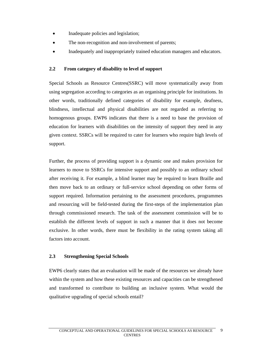- Inadequate policies and legislation;
- The non-recognition and non-involvement of parents;
- Inadequately and inappropriately trained education managers and educators.

#### **2.2 From category of disability to level of support**

Special Schools as Resource Centres(SSRC) will move systematically away from using segregation according to categories as an organising principle for institutions. In other words, traditionally defined categories of disability for example, deafness, blindness, intellectual and physical disabilities are not regarded as referring to homogenous groups. EWP6 indicates that there is a need to base the provision of education for learners with disabilities on the intensity of support they need in any given context. SSRCs will be required to cater for learners who require high levels of support.

Further, the process of providing support is a dynamic one and makes provision for learners to move to SSRCs for intensive support and possibly to an ordinary school after receiving it. For example, a blind learner may be required to learn Braille and then move back to an ordinary or full-service school depending on other forms of support required. Information pertaining to the assessment procedures, programmes and resourcing will be field-tested during the first-steps of the implementation plan through commissioned research. The task of the assessment commission will be to establish the different levels of support in such a manner that it does not become exclusive. In other words, there must be flexibility in the rating system taking all factors into account.

#### **2.3 Strengthening Special Schools**

EWP6 clearly states that an evaluation will be made of the resources we already have within the system and how these existing resources and capacities can be strengthened and transformed to contribute to building an inclusive system. What would the qualitative upgrading of special schools entail?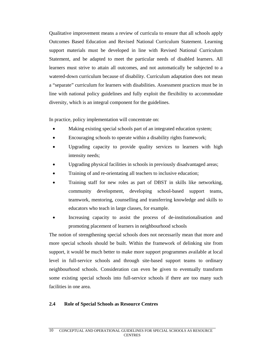Qualitative improvement means a review of curricula to ensure that all schools apply Outcomes Based Education and Revised National Curriculum Statement. Learning support materials must be developed in line with Revised National Curriculum Statement, and be adapted to meet the particular needs of disabled learners. All learners must strive to attain all outcomes, and not automatically be subjected to a watered-down curriculum because of disability. Curriculum adaptation does not mean a "separate" curriculum for learners with disabilities. Assessment practices must be in line with national policy guidelines and fully exploit the flexibility to accommodate diversity, which is an integral component for the guidelines.

In practice, policy implementation will concentrate on:

- Making existing special schools part of an integrated education system;
- Encouraging schools to operate within a disability rights framework;
- Upgrading capacity to provide quality services to learners with high intensity needs;
- Upgrading physical facilities in schools in previously disadvantaged areas;
- Training of and re-orientating all teachers to inclusive education;
- Training staff for new roles as part of DBST in skills like networking, community development, developing school-based support teams, teamwork, mentoring, counselling and transferring knowledge and skills to educators who teach in large classes, for example.
- Increasing capacity to assist the process of de-institutionalisation and promoting placement of learners in neighbourhood schools

The notion of strengthening special schools does not necessarily mean that more and more special schools should be built. Within the framework of delinking site from support, it would be much better to make more support programmes available at local level in full-service schools and through site-based support teams to ordinary neighbourhood schools. Consideration can even be given to eventually transform some existing special schools into full-service schools if there are too many such facilities in one area.

#### **2.4 Role of Special Schools as Resource Centres**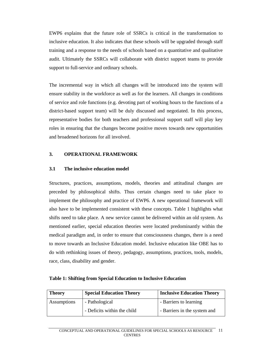EWP6 explains that the future role of SSRCs is critical in the transformation to inclusive education. It also indicates that these schools will be upgraded through staff training and a response to the needs of schools based on a quantitative and qualitative audit. Ultimately the SSRCs will collaborate with district support teams to provide support to full-service and ordinary schools.

The incremental way in which all changes will be introduced into the system will ensure stability in the workforce as well as for the learners. All changes in conditions of service and role functions (e.g. devoting part of working hours to the functions of a district-based support team) will be duly discussed and negotiated. In this process, representative bodies for both teachers and professional support staff will play key roles in ensuring that the changes become positive moves towards new opportunities and broadened horizons for all involved.

# **3. OPERATIONAL FRAMEWORK**

#### **3.1 The inclusive education model**

Structures, practices, assumptions, models, theories and attitudinal changes are preceded by philosophical shifts. Thus certain changes need to take place to implement the philosophy and practice of EWP6. A new operational framework will also have to be implemented consistent with these concepts. Table 1 highlights what shifts need to take place. A new service cannot be delivered within an old system. As mentioned earlier, special education theories were located predominantly within the medical paradigm and, in order to ensure that consciousness changes, there is a need to move towards an Inclusive Education model. Inclusive education like OBE has to do with rethinking issues of theory, pedagogy, assumptions, practices, tools, models, race, class, disability and gender.

|  |  | <b>Table 1: Shifting from Special Education to Inclusive Education</b> |  |  |
|--|--|------------------------------------------------------------------------|--|--|
|  |  |                                                                        |  |  |

| <b>Theory</b> | <b>Special Education Theory</b> | <b>Inclusive Education Theory</b> |
|---------------|---------------------------------|-----------------------------------|
| Assumptions   | - Pathological                  | - Barriers to learning            |
|               | - Deficits within the child     | - Barriers in the system and      |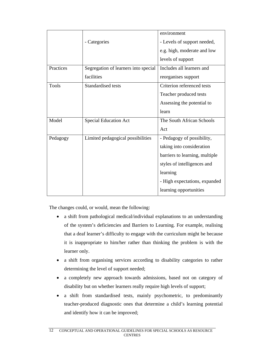|           |                                      | environment                    |
|-----------|--------------------------------------|--------------------------------|
|           | - Categories                         | - Levels of support needed,    |
|           |                                      | e.g. high, moderate and low    |
|           |                                      | levels of support              |
| Practices | Segregation of learners into special | Includes all learners and      |
|           | facilities                           | reorganises support            |
| Tools     | Standardised tests                   | Criterion referenced tests     |
|           |                                      | Teacher produced tests         |
|           |                                      | Assessing the potential to     |
|           |                                      | learn                          |
| Model     | Special Education Act                | The South African Schools      |
|           |                                      | Act                            |
| Pedagogy  | Limited pedagogical possibilities    | - Pedagogy of possibility,     |
|           |                                      | taking into consideration      |
|           |                                      | barriers to learning, multiple |
|           |                                      | styles of intelligences and    |
|           |                                      | learning                       |
|           |                                      | - High expectations, expanded  |
|           |                                      | learning opportunities         |
|           |                                      |                                |

The changes could, or would, mean the following:

- a shift from pathological medical/individual explanations to an understanding of the system's deficiencies and Barriers to Learning. For example, realising that a deaf learner's difficulty to engage with the curriculum might be because it is inappropriate to him/her rather than thinking the problem is with the learner only.
- a shift from organising services according to disability categories to rather determining the level of support needed;
- a completely new approach towards admissions, based not on category of disability but on whether learners really require high levels of support;
- a shift from standardised tests, mainly psychometric, to predominantly teacher-produced diagnostic ones that determine a child's learning potential and identify how it can be improved;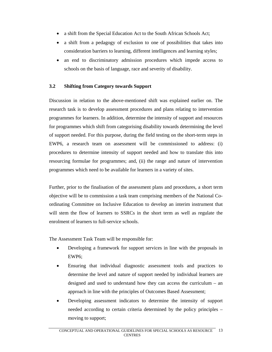- a shift from the Special Education Act to the South African Schools Act;
- a shift from a pedagogy of exclusion to one of possibilities that takes into consideration barriers to learning, different intelligences and learning styles;
- an end to discriminatory admission procedures which impede access to schools on the basis of language, race and severity of disability.

#### **3.2 Shifting from Category towards Support**

Discussion in relation to the above-mentioned shift was explained earlier on. The research task is to develop assessment procedures and plans relating to intervention programmes for learners. In addition, determine the intensity of support and resources for programmes which shift from categorising disability towards determining the level of support needed. For this purpose, during the field testing on the short-term steps in EWP6, a research team on assessment will be commissioned to address: (i) procedures to determine intensity of support needed and how to translate this into resourcing formulae for programmes; and, (ii) the range and nature of intervention programmes which need to be available for learners in a variety of sites.

Further, prior to the finalisation of the assessment plans and procedures, a short term objective will be to commission a task team comprising members of the National Coordinating Committee on Inclusive Education to develop an interim instrument that will stem the flow of learners to SSRCs in the short term as well as regulate the enrolment of learners to full-service schools.

The Assessment Task Team will be responsible for:

- Developing a framework for support services in line with the proposals in EWP6;
- Ensuring that individual diagnostic assessment tools and practices to determine the level and nature of support needed by individual learners are designed and used to understand how they can access the curriculum – an approach in line with the principles of Outcomes Based Assessment;
- Developing assessment indicators to determine the intensity of support needed according to certain criteria determined by the policy principles – moving to support;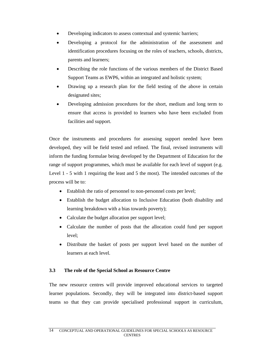- Developing indicators to assess contextual and systemic barriers;
- Developing a protocol for the administration of the assessment and identification procedures focusing on the roles of teachers, schools, districts, parents and learners;
- Describing the role functions of the various members of the District Based Support Teams as EWP6, within an integrated and holistic system;
- Drawing up a research plan for the field testing of the above in certain designated sites;
- Developing admission procedures for the short, medium and long term to ensure that access is provided to learners who have been excluded from facilities and support.

Once the instruments and procedures for assessing support needed have been developed, they will be field tested and refined. The final, revised instruments will inform the funding formulae being developed by the Department of Education for the range of support programmes, which must be available for each level of support (e.g. Level 1 - 5 with 1 requiring the least and 5 the most). The intended outcomes of the process will be to:

- Establish the ratio of personnel to non-personnel costs per level;
- Establish the budget allocation to Inclusive Education (both disability and learning breakdown with a bias towards poverty);
- Calculate the budget allocation per support level;
- Calculate the number of posts that the allocation could fund per support level;
- Distribute the basket of posts per support level based on the number of learners at each level.

#### **3.3 The role of the Special School as Resource Centre**

The new resource centres will provide improved educational services to targeted learner populations. Secondly, they will be integrated into district-based support teams so that they can provide specialised professional support in curriculum,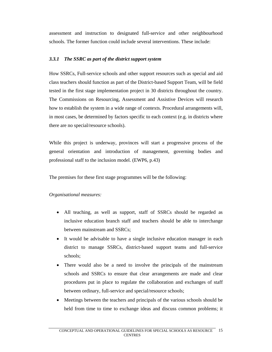assessment and instruction to designated full-service and other neighbourhood schools. The former function could include several interventions. These include:

#### *3.3.1 The SSRC as part of the district support system*

How SSRCs, Full-service schools and other support resources such as special and aid class teachers should function as part of the District-based Support Team, will be field tested in the first stage implementation project in 30 districts throughout the country. The Commissions on Resourcing, Assessment and Assistive Devices will research how to establish the system in a wide range of contexts. Procedural arrangements will, in most cases, be determined by factors specific to each context (e.g. in districts where there are no special/resource schools).

While this project is underway, provinces will start a progressive process of the general orientation and introduction of management, governing bodies and professional staff to the inclusion model. (EWP6, p.43)

The premises for these first stage programmes will be the following:

# *Organisational measures:*

- All teaching, as well as support, staff of SSRCs should be regarded as inclusive education branch staff and teachers should be able to interchange between mainstream and SSRCs;
- It would be advisable to have a single inclusive education manager in each district to manage SSRCs, district-based support teams and full-service schools;
- There would also be a need to involve the principals of the mainstream schools and SSRCs to ensure that clear arrangements are made and clear procedures put in place to regulate the collaboration and exchanges of staff between ordinary, full-service and special/resource schools;
- Meetings between the teachers and principals of the various schools should be held from time to time to exchange ideas and discuss common problems; it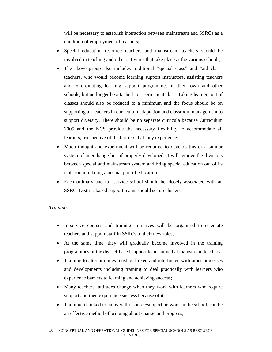will be necessary to establish interaction between mainstream and SSRCs as a condition of employment of teachers;

- Special education resource teachers and mainstream teachers should be involved in teaching and other activities that take place at the various schools;
- The above group also includes traditional "special class" and "aid class" teachers, who would become learning support instructors, assisting teachers and co-ordinating learning support programmes in their own and other schools, but no longer be attached to a permanent class. Taking learners out of classes should also be reduced to a minimum and the focus should be on supporting all teachers in curriculum adaptation and classroom management to support diversity. There should be no separate curricula because Curriculum 2005 and the NCS provide the necessary flexibility to accommodate all learners, irrespective of the barriers that they experience;
- Much thought and experiment will be required to develop this or a similar system of interchange but, if properly developed, it will remove the divisions between special and mainstream system and bring special education out of its isolation into being a normal part of education;
- Each ordinary and full-service school should be closely associated with an SSRC. District-based support teams should set up clusters.

# *Training:*

- In-service courses and training initiatives will be organised to orientate teachers and support staff in SSRCs to their new roles;
- At the same time, they will gradually become involved in the training programmes of the district-based support teams aimed at mainstream teachers;
- Training to alter attitudes must be linked and interlinked with other processes and developments including training to deal practically with learners who experience barriers to learning and achieving success;
- Many teachers' attitudes change when they work with learners who require support and then experience success because of it;
- Training, if linked to an overall resource/support network in the school, can be an effective method of bringing about change and progress;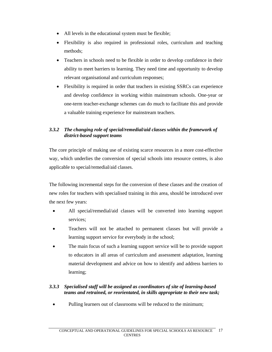- All levels in the educational system must be flexible;
- Flexibility is also required in professional roles, curriculum and teaching methods;
- Teachers in schools need to be flexible in order to develop confidence in their ability to meet barriers to learning. They need time and opportunity to develop relevant organisational and curriculum responses;
- Flexibility is required in order that teachers in existing SSRCs can experience and develop confidence in working within mainstream schools. One-year or one-term teacher-exchange schemes can do much to facilitate this and provide a valuable training experience for mainstream teachers.

# *3.3.2 The changing role of special/remedial/aid classes within the framework of district-based support teams*

The core principle of making use of existing scarce resources in a more cost-effective way, which underlies the conversion of special schools into resource centres, is also applicable to special/remedial/aid classes.

The following incremental steps for the conversion of these classes and the creation of new roles for teachers with specialised training in this area, should be introduced over the next few years:

- All special/remedial/aid classes will be converted into learning support services;
- Teachers will not be attached to permanent classes but will provide a learning support service for everybody in the school;
- The main focus of such a learning support service will be to provide support to educators in all areas of curriculum and assessment adaptation, learning material development and advice on how to identify and address barriers to learning;

### *3.3.3 Specialised staff will be assigned as coordinators of site of learning-based teams and retrained, or reorientated, in skills appropriate to their new task;*

• Pulling learners out of classrooms will be reduced to the minimum;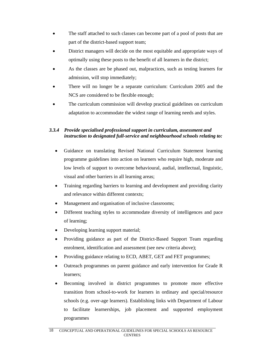- The staff attached to such classes can become part of a pool of posts that are part of the district-based support team;
- District managers will decide on the most equitable and appropriate ways of optimally using these posts to the benefit of all learners in the district;
- As the classes are be phased out, malpractices, such as testing learners for admission, will stop immediately;
- There will no longer be a separate curriculum: Curriculum 2005 and the NCS are considered to be flexible enough;
- The curriculum commission will develop practical guidelines on curriculum adaptation to accommodate the widest range of learning needs and styles.

# *3.3.4 Provide specialised professional support in curriculum, assessment and instruction to designated full-service and neighbourhood schools relating to:*

- Guidance on translating Revised National Curriculum Statement learning programme guidelines into action on learners who require high, moderate and low levels of support to overcome behavioural, audial, intellectual, linguistic, visual and other barriers in all learning areas;
- Training regarding barriers to learning and development and providing clarity and relevance within different contexts;
- Management and organisation of inclusive classrooms;
- Different teaching styles to accommodate diversity of intelligences and pace of learning;
- Developing learning support material;
- Providing guidance as part of the District-Based Support Team regarding enrolment, identification and assessment (see new criteria above);
- Providing guidance relating to ECD, ABET, GET and FET programmes;
- Outreach programmes on parent guidance and early intervention for Grade R learners;
- Becoming involved in district programmes to promote more effective transition from school-to-work for learners in ordinary and special/resource schools (e.g. over-age learners). Establishing links with Department of Labour to facilitate learnerships, job placement and supported employment programmes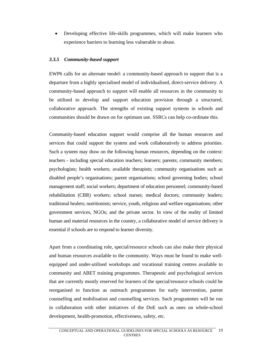• Developing effective life-skills programmes, which will make learners who experience barriers to learning less vulnerable to abuse.

#### *3.3.5 Community-based support*

EWP6 calls for an alternate model: a community-based approach to support that is a departure from a highly specialised model of individualised, direct-service delivery. A community-based approach to support will enable all resources in the community to be utilised to develop and support education provision through a structured, collaborative approach. The strengths of existing support systems in schools and communities should be drawn on for optimum use. SSRCs can help co-ordinate this.

Community-based education support would comprise all the human resources and services that could support the system and work collaboratively to address priorities. Such a system may draw on the following human resources, depending on the context: teachers - including special education teachers; learners; parents; community members; psychologists; health workers; available therapists; community organisations such as disabled people's organisations; parent organisations; school governing bodies; school management staff; social workers; department of education personnel; community-based rehabilitation (CBR) workers; school nurses; medical doctors; community leaders; traditional healers; nutritionists; service, youth, religious and welfare organisations; other government services, NGOs; and the private sector. In view of the reality of limited human and material resources in the country, a collaborative model of service delivery is essential if schools are to respond to learner diversity.

Apart from a coordinating role, special/resource schools can also make their physical and human resources available to the community. Ways must be found to make wellequipped and under-utilised workshops and vocational training centres available to community and ABET training programmes. Therapeutic and psychological services that are currently mostly reserved for learners of the special/resource schools could be reorganised to function as outreach programmes for early intervention, parent counselling and mobilisation and counselling services. Such programmes will be run in collaboration with other initiatives of the DoE such as ones on whole-school development, health-promotion, effectiveness, safety, etc.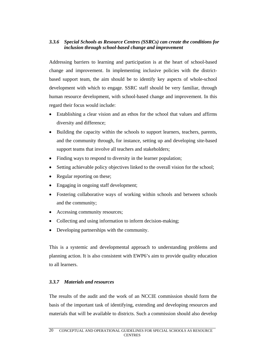### *3.3.6 Special Schools as Resource Centres (SSRCs) can create the conditions for inclusion through school-based change and improvement*

Addressing barriers to learning and participation is at the heart of school-based change and improvement. In implementing inclusive policies with the districtbased support team, the aim should be to identify key aspects of whole-school development with which to engage. SSRC staff should be very familiar, through human resource development, with school-based change and improvement. In this regard their focus would include:

- Establishing a clear vision and an ethos for the school that values and affirms diversity and difference;
- Building the capacity within the schools to support learners, teachers, parents, and the community through, for instance, setting up and developing site-based support teams that involve all teachers and stakeholders;
- Finding ways to respond to diversity in the learner population;
- Setting achievable policy objectives linked to the overall vision for the school;
- Regular reporting on these;
- Engaging in ongoing staff development;
- Fostering collaborative ways of working within schools and between schools and the community;
- Accessing community resources;
- Collecting and using information to inform decision-making;
- Developing partnerships with the community.

This is a systemic and developmental approach to understanding problems and planning action. It is also consistent with EWP6's aim to provide quality education to all learners.

#### *3.3.7 Materials and resources*

The results of the audit and the work of an NCCIE commission should form the basis of the important task of identifying, extending and developing resources and materials that will be available to districts. Such a commission should also develop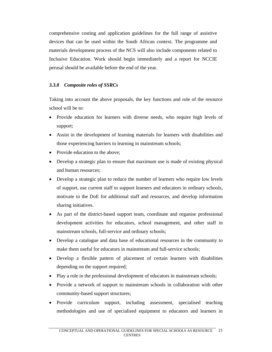comprehensive costing and application guidelines for the full range of assistive devices that can be used within the South African context. The programme and materials development process of the NCS will also include components related to Inclusive Education. Work should begin immediately and a report for NCCIE perusal should be available before the end of the year.

### *3.3.8 Composite roles of SSRCs*

Taking into account the above proposals, the key functions and role of the resource school will be to:

- Provide education for learners with diverse needs, who require high levels of support;
- Assist in the development of learning materials for learners with disabilities and those experiencing barriers to learning in mainstream schools;
- Provide education to the above:
- Develop a strategic plan to ensure that maximum use is made of existing physical and human resources;
- Develop a strategic plan to reduce the number of learners who require low levels of support, use current staff to support learners and educators in ordinary schools, motivate to the DoE for additional staff and resources, and develop information sharing initiatives.
- As part of the district-based support team, coordinate and organise professional development activities for educators, school management, and other staff in mainstream schools, full-service and ordinary schools;
- Develop a catalogue and data base of educational resources in the community to make them useful for educators in mainstream and full-service schools;
- Develop a flexible pattern of placement of certain learners with disabilities depending on the support required;
- Play a role in the professional development of educators in mainstream schools;
- Provide a network of support to mainstream schools in collaboration with other community-based support structures;
- Provide curriculum support, including assessment, specialised teaching methodologies and use of specialised equipment to educators and learners in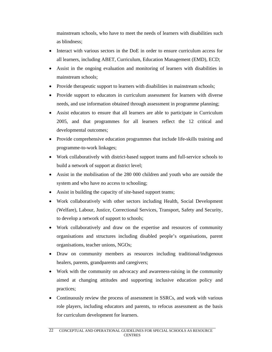mainstream schools, who have to meet the needs of learners with disabilities such as blindness;

- Interact with various sectors in the DoE in order to ensure curriculum access for all learners, including ABET, Curriculum, Education Management (EMD), ECD;
- Assist in the ongoing evaluation and monitoring of learners with disabilities in mainstream schools;
- Provide therapeutic support to learners with disabilities in mainstream schools;
- Provide support to educators in curriculum assessment for learners with diverse needs, and use information obtained through assessment in programme planning;
- Assist educators to ensure that all learners are able to participate in Curriculum 2005, and that programmes for all learners reflect the 12 critical and developmental outcomes;
- Provide comprehensive education programmes that include life-skills training and programme-to-work linkages;
- Work collaboratively with district-based support teams and full-service schools to build a network of support at district level;
- Assist in the mobilisation of the 280 000 children and youth who are outside the system and who have no access to schooling;
- Assist in building the capacity of site-based support teams;
- Work collaboratively with other sectors including Health, Social Development (Welfare), Labour, Justice, Correctional Services, Transport, Safety and Security, to develop a network of support to schools;
- Work collaboratively and draw on the expertise and resources of community organisations and structures including disabled people's organisations, parent organisations, teacher unions, NGOs;
- Draw on community members as resources including traditional/indigenous healers, parents, grandparents and caregivers;
- Work with the community on advocacy and awareness-raising in the community aimed at changing attitudes and supporting inclusive education policy and practices;
- Continuously review the process of assessment in SSRCs, and work with various role players, including educators and parents, to refocus assessment as the basis for curriculum development for learners.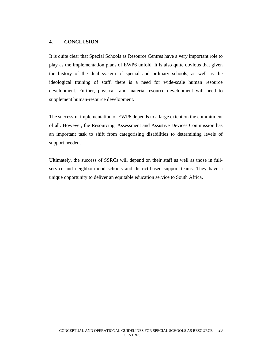# **4. CONCLUSION**

It is quite clear that Special Schools as Resource Centres have a very important role to play as the implementation plans of EWP6 unfold. It is also quite obvious that given the history of the dual system of special and ordinary schools, as well as the ideological training of staff, there is a need for wide-scale human resource development. Further, physical- and material-resource development will need to supplement human-resource development.

The successful implementation of EWP6 depends to a large extent on the commitment of all. However, the Resourcing, Assessment and Assistive Devices Commission has an important task to shift from categorising disabilities to determining levels of support needed.

Ultimately, the success of SSRCs will depend on their staff as well as those in fullservice and neighbourhood schools and district-based support teams. They have a unique opportunity to deliver an equitable education service to South Africa.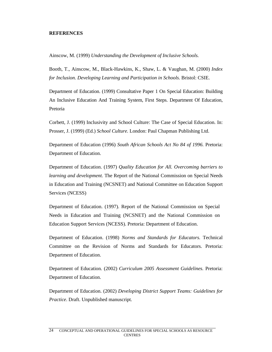#### **REFERENCES**

Ainscow, M. (1999) *Understanding the Development of Inclusive Schools.* 

Booth, T., Ainscow, M., Black-Hawkins, K., Shaw, L. & Vaughan, M. (2000) *Index for Inclusion. Developing Learning and Participation in Schools.* Bristol: CSIE.

Department of Education. (1999) Consultative Paper 1 On Special Education: Building An Inclusive Education And Training System, First Steps. Department Of Education, Pretoria

Corbett, J. (1999) Inclusivity and School Culture: The Case of Special Education. In: Prosser, J. (1999) (Ed.) *School Culture.* London: Paul Chapman Publishing Ltd.

Department of Education (1996) *South African Schools Act No 84 of 1996.* Pretoria: Department of Education.

Department of Education. (1997) *Quality Education for All. Overcoming barriers to learning and development.* The Report of the National Commission on Special Needs in Education and Training (NCSNET) and National Committee on Education Support Services (NCESS)

Department of Education. (1997). Report of the National Commission on Special Needs in Education and Training (NCSNET) and the National Commission on Education Support Services (NCESS). Pretoria: Department of Education.

Department of Education. (1998) *Norms and Standards for Educators.* Technical Committee on the Revision of Norms and Standards for Educators. Pretoria: Department of Education.

Department of Education. (2002) *Curriculum 2005 Assessment Guidelines.* Pretoria: Department of Education.

Department of Education. (2002) *Developing District Support Teams: Guidelines for Practice*. Draft. Unpublished manuscript.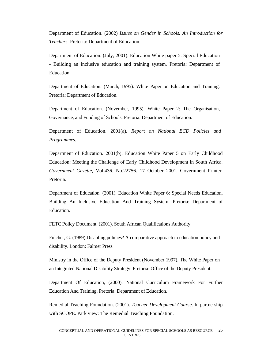Department of Education. (2002) *Issues on Gender in Schools. An Introduction for Teachers.* Pretoria: Department of Education.

Department of Education. (July, 2001). Education White paper 5: Special Education - Building an inclusive education and training system. Pretoria: Department of Education.

Department of Education. (March, 1995). White Paper on Education and Training. Pretoria: Department of Education.

Department of Education. (November, 1995). White Paper 2: The Organisation, Governance, and Funding of Schools. Pretoria: Department of Education.

Department of Education. 2001(a). *Report on National ECD Policies and Programmes.* 

Department of Education. 2001(b). Education White Paper 5 on Early Childhood Education: Meeting the Challenge of Early Childhood Development in South Africa. *Government Gazette,* Vol.436. No.22756. 17 October 2001. Government Printer. Pretoria.

Department of Education. (2001). Education White Paper 6: Special Needs Education, Building An Inclusive Education And Training System. Pretoria: Department of Education.

FETC Policy Document. (2001). South African Qualifications Authority.

Fulcher, G. (1989) Disabling policies? A comparative approach to education policy and disability. London: Falmer Press

Ministry in the Office of the Deputy President (November 1997). The White Paper on an Integrated National Disability Strategy. Pretoria: Office of the Deputy President.

Department Of Education, (2000). National Curriculum Framework For Further Education And Training. Pretoria: Department of Education.

Remedial Teaching Foundation. (2001). *Teacher Development Course*. In partnership with SCOPE. Park view: The Remedial Teaching Foundation.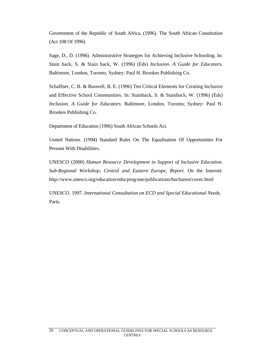Government of the Republic of South Africa. (1996). The South African Constitution (Act 108 Of 1996)

Sage, D., D. (1996). Administrative Strategies for Achieving Inclusive Schooling. In: Stain back, S. & Stain back, W. (1996) (Eds) *Inclusion. A Guide for Educators.* Baltimore, London, Toronto, Sydney: Paul H. Brookes Publishing Co.

Schaffner, C. B. & Buswell, B. E. (1996) Ten Critical Elements for Creating Inclusive and Effective School Communities. In: Stainback, S. & Stainback, W. (1996) (Eds) *Inclusion. A Guide for Educators.* Baltimore, London, Toronto, Sydney: Paul H. Brookes Publishing Co.

Department of Education (1996) South African Schools Act.

United Nations. (1994) Standard Rules On The Equalisation Of Opportunities For Persons With Disabilities.

UNESCO (2000) *Human Resource Development in Support of Inclusive Education. Sub-Regional Workshop, Central and Eastern Europe, Report.* On the Internet: http://www.unesco.org/education/educprog/sne/publications/bucharest/cover.html

UNESCO. 1997. *International Consultation on ECD and Special Educational Needs.* Paris.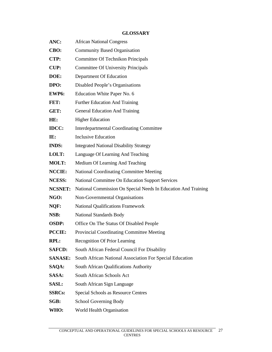# **GLOSSARY**

| ANC:           | <b>African National Congress</b>                               |
|----------------|----------------------------------------------------------------|
| CBO:           | <b>Community Based Organisation</b>                            |
| CTP:           | Committee Of Technikon Principals                              |
| <b>CUP:</b>    | <b>Committee Of University Principals</b>                      |
| DOE:           | Department Of Education                                        |
| DPO:           | Disabled People's Organisations                                |
| EWP6:          | Education White Paper No. 6                                    |
| FET:           | <b>Further Education And Training</b>                          |
| GET:           | <b>General Education And Training</b>                          |
| HE:            | <b>Higher Education</b>                                        |
| <b>IDCC:</b>   | <b>Interdepartmental Coordinating Committee</b>                |
| IE:            | <b>Inclusive Education</b>                                     |
| <b>INDS:</b>   | <b>Integrated National Disability Strategy</b>                 |
| LOLT:          | Language Of Learning And Teaching                              |
| <b>MOLT:</b>   | Medium Of Learning And Teaching                                |
| <b>NCCIE:</b>  | <b>National Coordinating Committee Meeting</b>                 |
| <b>NCESS:</b>  | National Committee On Education Support Services               |
| <b>NCSNET:</b> | National Commission On Special Needs In Education And Training |
| NGO:           | Non-Governmental Organisations                                 |
| NQF:           | <b>National Qualifications Framework</b>                       |
| NSB:           | <b>National Standards Body</b>                                 |
| <b>OSDP:</b>   | Office On The Status Of Disabled People                        |
| <b>PCCIE:</b>  | Provincial Coordinating Committee Meeting                      |
| <b>RPL:</b>    | <b>Recognition Of Prior Learning</b>                           |
| <b>SAFCD:</b>  | South African Federal Council For Disability                   |
| <b>SANASE:</b> | South African National Association For Special Education       |
| SAQA:          | South African Qualifications Authority                         |
| SASA:          | South African Schools Act                                      |
| <b>SASL:</b>   | South African Sign Language                                    |
| <b>SSRCs:</b>  | <b>Special Schools as Resource Centres</b>                     |
| SGB:           | School Governing Body                                          |
| WHO:           | World Health Organisation                                      |